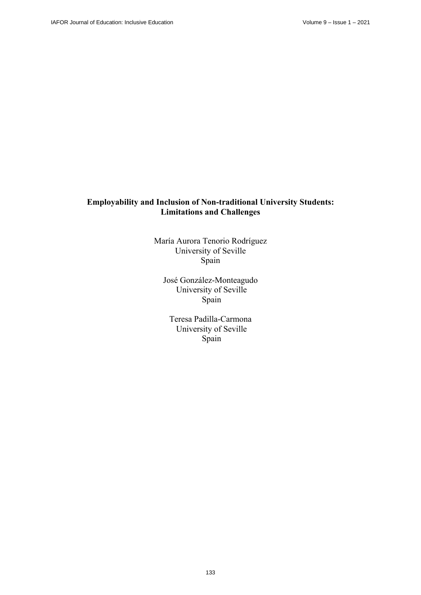# **Employability and Inclusion of Non-traditional University Students: Limitations and Challenges**

María Aurora Tenorio Rodríguez University of Seville Spain

José González-Monteagudo University of Seville Spain

Teresa Padilla-Carmona University of Seville Spain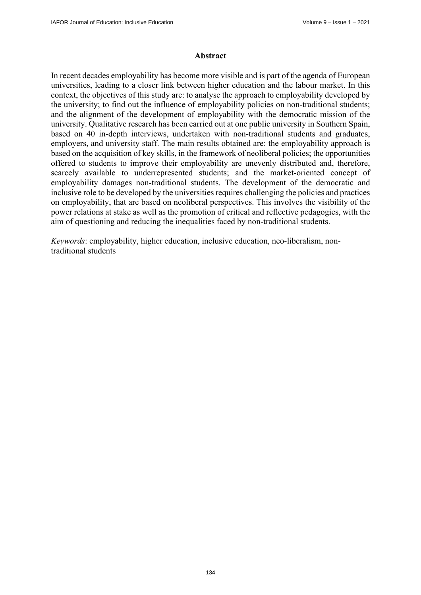#### **Abstract**

In recent decades employability has become more visible and is part of the agenda of European universities, leading to a closer link between higher education and the labour market. In this context, the objectives of this study are: to analyse the approach to employability developed by the university; to find out the influence of employability policies on non-traditional students; and the alignment of the development of employability with the democratic mission of the university. Qualitative research has been carried out at one public university in Southern Spain, based on 40 in-depth interviews, undertaken with non-traditional students and graduates, employers, and university staff. The main results obtained are: the employability approach is based on the acquisition of key skills, in the framework of neoliberal policies; the opportunities offered to students to improve their employability are unevenly distributed and, therefore, scarcely available to underrepresented students; and the market-oriented concept of employability damages non-traditional students. The development of the democratic and inclusive role to be developed by the universities requires challenging the policies and practices on employability, that are based on neoliberal perspectives. This involves the visibility of the power relations at stake as well as the promotion of critical and reflective pedagogies, with the aim of questioning and reducing the inequalities faced by non-traditional students.

*Keywords*: employability, higher education, inclusive education, neo-liberalism, nontraditional students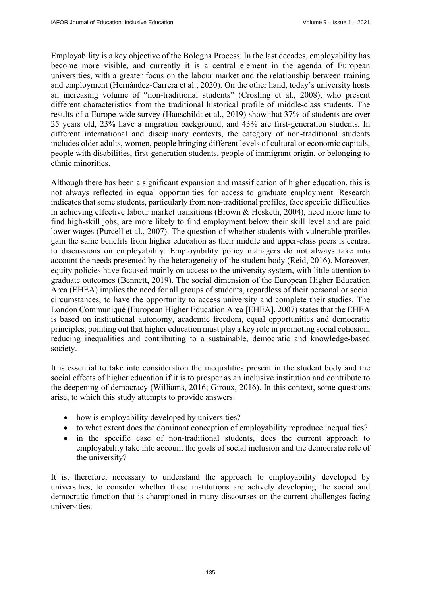Employability is a key objective of the Bologna Process. In the last decades, employability has become more visible, and currently it is a central element in the agenda of European universities, with a greater focus on the labour market and the relationship between training and employment (Hernández-Carrera et al., 2020). On the other hand, today's university hosts an increasing volume of "non-traditional students" (Crosling et al., 2008), who present different characteristics from the traditional historical profile of middle-class students. The results of a Europe-wide survey (Hauschildt et al., 2019) show that 37% of students are over 25 years old, 23% have a migration background, and 43% are first-generation students. In different international and disciplinary contexts, the category of non-traditional students includes older adults, women, people bringing different levels of cultural or economic capitals, people with disabilities, first-generation students, people of immigrant origin, or belonging to ethnic minorities.

Although there has been a significant expansion and massification of higher education, this is not always reflected in equal opportunities for access to graduate employment. Research indicates that some students, particularly from non-traditional profiles, face specific difficulties in achieving effective labour market transitions (Brown & Hesketh, 2004), need more time to find high-skill jobs, are more likely to find employment below their skill level and are paid lower wages (Purcell et al., 2007). The question of whether students with vulnerable profiles gain the same benefits from higher education as their middle and upper-class peers is central to discussions on employability. Employability policy managers do not always take into account the needs presented by the heterogeneity of the student body (Reid, 2016). Moreover, equity policies have focused mainly on access to the university system, with little attention to graduate outcomes (Bennett, 2019). The social dimension of the European Higher Education Area (EHEA) implies the need for all groups of students, regardless of their personal or social circumstances, to have the opportunity to access university and complete their studies. The London Communiqué (European Higher Education Area [EHEA], 2007) states that the EHEA is based on institutional autonomy, academic freedom, equal opportunities and democratic principles, pointing out that higher education must play a key role in promoting social cohesion, reducing inequalities and contributing to a sustainable, democratic and knowledge-based society.

It is essential to take into consideration the inequalities present in the student body and the social effects of higher education if it is to prosper as an inclusive institution and contribute to the deepening of democracy (Williams, 2016; Giroux, 2016). In this context, some questions arise, to which this study attempts to provide answers:

- how is employability developed by universities?
- to what extent does the dominant conception of employability reproduce inequalities?
- in the specific case of non-traditional students, does the current approach to employability take into account the goals of social inclusion and the democratic role of the university?

It is, therefore, necessary to understand the approach to employability developed by universities, to consider whether these institutions are actively developing the social and democratic function that is championed in many discourses on the current challenges facing universities.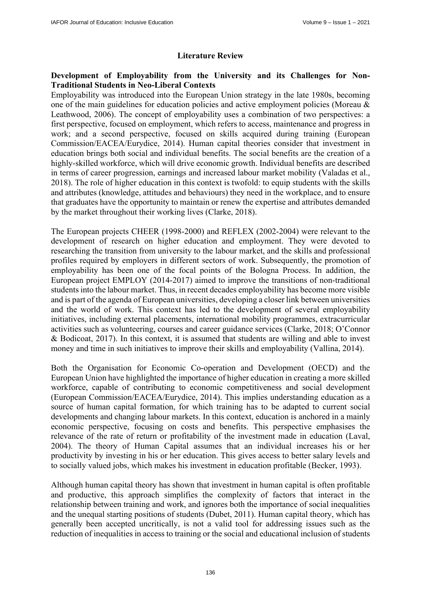# **Literature Review**

# **Development of Employability from the University and its Challenges for Non-Traditional Students in Neo-Liberal Contexts**

Employability was introduced into the European Union strategy in the late 1980s, becoming one of the main guidelines for education policies and active employment policies (Moreau & Leathwood, 2006). The concept of employability uses a combination of two perspectives: a first perspective, focused on employment, which refers to access, maintenance and progress in work; and a second perspective, focused on skills acquired during training (European Commission/EACEA/Eurydice, 2014). Human capital theories consider that investment in education brings both social and individual benefits. The social benefits are the creation of a highly-skilled workforce, which will drive economic growth. Individual benefits are described in terms of career progression, earnings and increased labour market mobility (Valadas et al., 2018). The role of higher education in this context is twofold: to equip students with the skills and attributes (knowledge, attitudes and behaviours) they need in the workplace, and to ensure that graduates have the opportunity to maintain or renew the expertise and attributes demanded by the market throughout their working lives (Clarke, 2018).

The European projects CHEER (1998-2000) and REFLEX (2002-2004) were relevant to the development of research on higher education and employment. They were devoted to researching the transition from university to the labour market, and the skills and professional profiles required by employers in different sectors of work. Subsequently, the promotion of employability has been one of the focal points of the Bologna Process. In addition, the European project EMPLOY (2014-2017) aimed to improve the transitions of non-traditional students into the labour market. Thus, in recent decades employability has become more visible and is part of the agenda of European universities, developing a closer link between universities and the world of work. This context has led to the development of several employability initiatives, including external placements, international mobility programmes, extracurricular activities such as volunteering, courses and career guidance services (Clarke, 2018; O'Connor & Bodicoat, 2017). In this context, it is assumed that students are willing and able to invest money and time in such initiatives to improve their skills and employability (Vallina, 2014).

Both the Organisation for Economic Co-operation and Development (OECD) and the European Union have highlighted the importance of higher education in creating a more skilled workforce, capable of contributing to economic competitiveness and social development (European Commission/EACEA/Eurydice, 2014). This implies understanding education as a source of human capital formation, for which training has to be adapted to current social developments and changing labour markets. In this context, education is anchored in a mainly economic perspective, focusing on costs and benefits. This perspective emphasises the relevance of the rate of return or profitability of the investment made in education (Laval, 2004). The theory of Human Capital assumes that an individual increases his or her productivity by investing in his or her education. This gives access to better salary levels and to socially valued jobs, which makes his investment in education profitable (Becker, 1993).

Although human capital theory has shown that investment in human capital is often profitable and productive, this approach simplifies the complexity of factors that interact in the relationship between training and work, and ignores both the importance of social inequalities and the unequal starting positions of students (Dubet, 2011). Human capital theory, which has generally been accepted uncritically, is not a valid tool for addressing issues such as the reduction of inequalities in access to training or the social and educational inclusion of students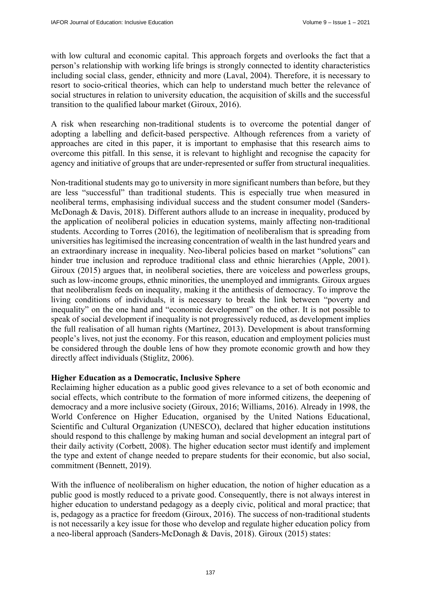with low cultural and economic capital. This approach forgets and overlooks the fact that a person's relationship with working life brings is strongly connected to identity characteristics including social class, gender, ethnicity and more (Laval, 2004). Therefore, it is necessary to resort to socio-critical theories, which can help to understand much better the relevance of social structures in relation to university education, the acquisition of skills and the successful transition to the qualified labour market (Giroux, 2016).

A risk when researching non-traditional students is to overcome the potential danger of adopting a labelling and deficit-based perspective. Although references from a variety of approaches are cited in this paper, it is important to emphasise that this research aims to overcome this pitfall. In this sense, it is relevant to highlight and recognise the capacity for agency and initiative of groups that are under-represented or suffer from structural inequalities.

Non-traditional students may go to university in more significant numbers than before, but they are less "successful" than traditional students. This is especially true when measured in neoliberal terms, emphasising individual success and the student consumer model (Sanders-McDonagh & Davis, 2018). Different authors allude to an increase in inequality, produced by the application of neoliberal policies in education systems, mainly affecting non-traditional students. According to Torres (2016), the legitimation of neoliberalism that is spreading from universities has legitimised the increasing concentration of wealth in the last hundred years and an extraordinary increase in inequality. Neo-liberal policies based on market "solutions" can hinder true inclusion and reproduce traditional class and ethnic hierarchies (Apple, 2001). Giroux (2015) argues that, in neoliberal societies, there are voiceless and powerless groups, such as low-income groups, ethnic minorities, the unemployed and immigrants. Giroux argues that neoliberalism feeds on inequality, making it the antithesis of democracy. To improve the living conditions of individuals, it is necessary to break the link between "poverty and inequality" on the one hand and "economic development" on the other. It is not possible to speak of social development if inequality is not progressively reduced, as development implies the full realisation of all human rights (Martínez, 2013). Development is about transforming people's lives, not just the economy. For this reason, education and employment policies must be considered through the double lens of how they promote economic growth and how they directly affect individuals (Stiglitz, 2006).

### **Higher Education as a Democratic, Inclusive Sphere**

Reclaiming higher education as a public good gives relevance to a set of both economic and social effects, which contribute to the formation of more informed citizens, the deepening of democracy and a more inclusive society (Giroux, 2016; Williams, 2016). Already in 1998, the World Conference on Higher Education, organised by the United Nations Educational, Scientific and Cultural Organization (UNESCO), declared that higher education institutions should respond to this challenge by making human and social development an integral part of their daily activity (Corbett, 2008). The higher education sector must identify and implement the type and extent of change needed to prepare students for their economic, but also social, commitment (Bennett, 2019).

With the influence of neoliberalism on higher education, the notion of higher education as a public good is mostly reduced to a private good. Consequently, there is not always interest in higher education to understand pedagogy as a deeply civic, political and moral practice; that is, pedagogy as a practice for freedom (Giroux, 2016). The success of non-traditional students is not necessarily a key issue for those who develop and regulate higher education policy from a neo-liberal approach (Sanders-McDonagh & Davis, 2018). Giroux (2015) states: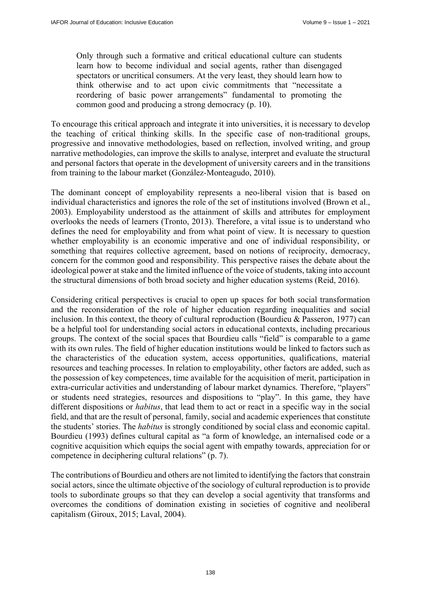Only through such a formative and critical educational culture can students learn how to become individual and social agents, rather than disengaged spectators or uncritical consumers. At the very least, they should learn how to think otherwise and to act upon civic commitments that "necessitate a reordering of basic power arrangements" fundamental to promoting the common good and producing a strong democracy (p. 10).

To encourage this critical approach and integrate it into universities, it is necessary to develop the teaching of critical thinking skills. In the specific case of non-traditional groups, progressive and innovative methodologies, based on reflection, involved writing, and group narrative methodologies, can improve the skills to analyse, interpret and evaluate the structural and personal factors that operate in the development of university careers and in the transitions from training to the labour market (González-Monteagudo, 2010).

The dominant concept of employability represents a neo-liberal vision that is based on individual characteristics and ignores the role of the set of institutions involved (Brown et al., 2003). Employability understood as the attainment of skills and attributes for employment overlooks the needs of learners (Tronto, 2013). Therefore, a vital issue is to understand who defines the need for employability and from what point of view. It is necessary to question whether employability is an economic imperative and one of individual responsibility, or something that requires collective agreement, based on notions of reciprocity, democracy, concern for the common good and responsibility. This perspective raises the debate about the ideological power at stake and the limited influence of the voice of students, taking into account the structural dimensions of both broad society and higher education systems (Reid, 2016).

Considering critical perspectives is crucial to open up spaces for both social transformation and the reconsideration of the role of higher education regarding inequalities and social inclusion. In this context, the theory of cultural reproduction (Bourdieu & Passeron, 1977) can be a helpful tool for understanding social actors in educational contexts, including precarious groups. The context of the social spaces that Bourdieu calls "field" is comparable to a game with its own rules. The field of higher education institutions would be linked to factors such as the characteristics of the education system, access opportunities, qualifications, material resources and teaching processes. In relation to employability, other factors are added, such as the possession of key competences, time available for the acquisition of merit, participation in extra-curricular activities and understanding of labour market dynamics. Therefore, "players" or students need strategies, resources and dispositions to "play". In this game, they have different dispositions or *habitus*, that lead them to act or react in a specific way in the social field, and that are the result of personal, family, social and academic experiences that constitute the students' stories. The *habitus* is strongly conditioned by social class and economic capital. Bourdieu (1993) defines cultural capital as "a form of knowledge, an internalised code or a cognitive acquisition which equips the social agent with empathy towards, appreciation for or competence in deciphering cultural relations" (p. 7).

The contributions of Bourdieu and others are not limited to identifying the factors that constrain social actors, since the ultimate objective of the sociology of cultural reproduction is to provide tools to subordinate groups so that they can develop a social agentivity that transforms and overcomes the conditions of domination existing in societies of cognitive and neoliberal capitalism (Giroux, 2015; Laval, 2004).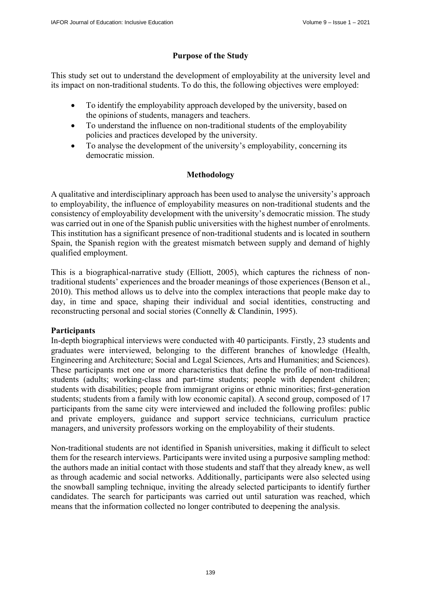# **Purpose of the Study**

This study set out to understand the development of employability at the university level and its impact on non-traditional students. To do this, the following objectives were employed:

- To identify the employability approach developed by the university, based on the opinions of students, managers and teachers.
- To understand the influence on non-traditional students of the employability policies and practices developed by the university.
- To analyse the development of the university's employability, concerning its democratic mission.

# **Methodology**

A qualitative and interdisciplinary approach has been used to analyse the university's approach to employability, the influence of employability measures on non-traditional students and the consistency of employability development with the university's democratic mission. The study was carried out in one of the Spanish public universities with the highest number of enrolments. This institution has a significant presence of non-traditional students and is located in southern Spain, the Spanish region with the greatest mismatch between supply and demand of highly qualified employment.

This is a biographical-narrative study (Elliott, 2005), which captures the richness of nontraditional students' experiences and the broader meanings of those experiences (Benson et al., 2010). This method allows us to delve into the complex interactions that people make day to day, in time and space, shaping their individual and social identities, constructing and reconstructing personal and social stories (Connelly & Clandinin, 1995).

# **Participants**

In-depth biographical interviews were conducted with 40 participants. Firstly, 23 students and graduates were interviewed, belonging to the different branches of knowledge (Health, Engineering and Architecture; Social and Legal Sciences, Arts and Humanities; and Sciences). These participants met one or more characteristics that define the profile of non-traditional students (adults; working-class and part-time students; people with dependent children; students with disabilities; people from immigrant origins or ethnic minorities; first-generation students; students from a family with low economic capital). A second group, composed of 17 participants from the same city were interviewed and included the following profiles: public and private employers, guidance and support service technicians, curriculum practice managers, and university professors working on the employability of their students.

Non-traditional students are not identified in Spanish universities, making it difficult to select them for the research interviews. Participants were invited using a purposive sampling method: the authors made an initial contact with those students and staff that they already knew, as well as through academic and social networks. Additionally, participants were also selected using the snowball sampling technique, inviting the already selected participants to identify further candidates. The search for participants was carried out until saturation was reached, which means that the information collected no longer contributed to deepening the analysis.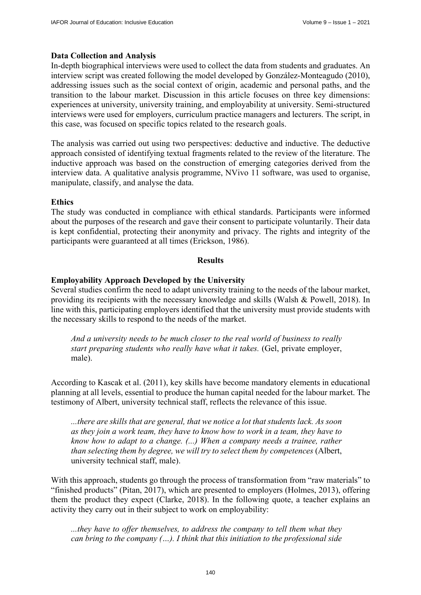## **Data Collection and Analysis**

In-depth biographical interviews were used to collect the data from students and graduates. An interview script was created following the model developed by González-Monteagudo (2010), addressing issues such as the social context of origin, academic and personal paths, and the transition to the labour market. Discussion in this article focuses on three key dimensions: experiences at university, university training, and employability at university. Semi-structured interviews were used for employers, curriculum practice managers and lecturers. The script, in this case, was focused on specific topics related to the research goals.

The analysis was carried out using two perspectives: deductive and inductive. The deductive approach consisted of identifying textual fragments related to the review of the literature. The inductive approach was based on the construction of emerging categories derived from the interview data. A qualitative analysis programme, NVivo 11 software, was used to organise, manipulate, classify, and analyse the data.

## **Ethics**

The study was conducted in compliance with ethical standards. Participants were informed about the purposes of the research and gave their consent to participate voluntarily. Their data is kept confidential, protecting their anonymity and privacy. The rights and integrity of the participants were guaranteed at all times (Erickson, 1986).

### **Results**

## **Employability Approach Developed by the University**

Several studies confirm the need to adapt university training to the needs of the labour market, providing its recipients with the necessary knowledge and skills (Walsh & Powell, 2018). In line with this, participating employers identified that the university must provide students with the necessary skills to respond to the needs of the market.

*And a university needs to be much closer to the real world of business to really start preparing students who really have what it takes.* (Gel, private employer, male).

According to Kascak et al. (2011), key skills have become mandatory elements in educational planning at all levels, essential to produce the human capital needed for the labour market. The testimony of Albert, university technical staff, reflects the relevance of this issue.

*...there are skills that are general, that we notice a lot that students lack. As soon as they join a work team, they have to know how to work in a team, they have to know how to adapt to a change. (...) When a company needs a trainee, rather than selecting them by degree, we will try to select them by competences* (Albert, university technical staff, male).

With this approach, students go through the process of transformation from "raw materials" to "finished products" (Pitan, 2017), which are presented to employers (Holmes, 2013), offering them the product they expect (Clarke, 2018). In the following quote, a teacher explains an activity they carry out in their subject to work on employability:

*...they have to offer themselves, to address the company to tell them what they can bring to the company (…). I think that this initiation to the professional side*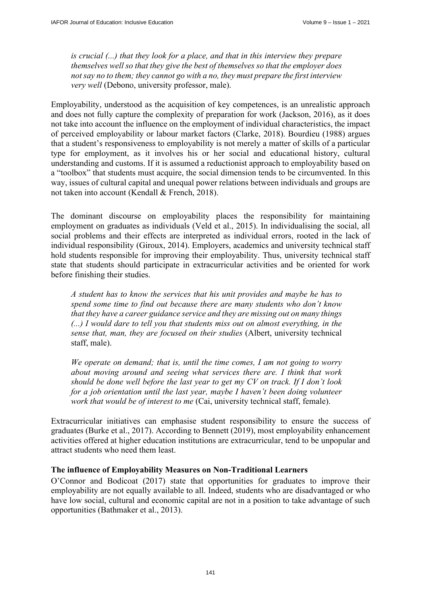*is crucial (...) that they look for a place, and that in this interview they prepare themselves well so that they give the best of themselves so that the employer does not say no to them; they cannot go with a no, they must prepare the first interview very well* (Debono, university professor, male).

Employability, understood as the acquisition of key competences, is an unrealistic approach and does not fully capture the complexity of preparation for work (Jackson, 2016), as it does not take into account the influence on the employment of individual characteristics, the impact of perceived employability or labour market factors (Clarke, 2018). Bourdieu (1988) argues that a student's responsiveness to employability is not merely a matter of skills of a particular type for employment, as it involves his or her social and educational history, cultural understanding and customs. If it is assumed a reductionist approach to employability based on a "toolbox" that students must acquire, the social dimension tends to be circumvented. In this way, issues of cultural capital and unequal power relations between individuals and groups are not taken into account (Kendall & French, 2018).

The dominant discourse on employability places the responsibility for maintaining employment on graduates as individuals (Veld et al., 2015). In individualising the social, all social problems and their effects are interpreted as individual errors, rooted in the lack of individual responsibility (Giroux, 2014). Employers, academics and university technical staff hold students responsible for improving their employability. Thus, university technical staff state that students should participate in extracurricular activities and be oriented for work before finishing their studies.

*A student has to know the services that his unit provides and maybe he has to spend some time to find out because there are many students who don't know that they have a career guidance service and they are missing out on many things (...) I would dare to tell you that students miss out on almost everything, in the sense that, man, they are focused on their studies* (Albert, university technical staff, male).

*We operate on demand; that is, until the time comes, I am not going to worry about moving around and seeing what services there are. I think that work should be done well before the last year to get my CV on track. If I don't look for a job orientation until the last year, maybe I haven't been doing volunteer work that would be of interest to me* (Cai, university technical staff, female).

Extracurricular initiatives can emphasise student responsibility to ensure the success of graduates (Burke et al., 2017). According to Bennett (2019), most employability enhancement activities offered at higher education institutions are extracurricular, tend to be unpopular and attract students who need them least.

# **The influence of Employability Measures on Non-Traditional Learners**

O'Connor and Bodicoat (2017) state that opportunities for graduates to improve their employability are not equally available to all. Indeed, students who are disadvantaged or who have low social, cultural and economic capital are not in a position to take advantage of such opportunities (Bathmaker et al., 2013).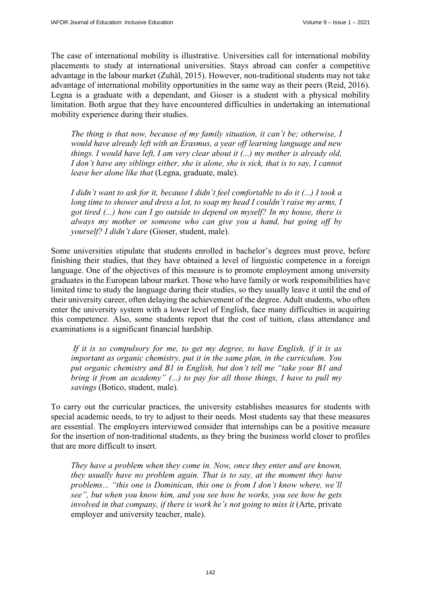The case of international mobility is illustrative. Universities call for international mobility placements to study at international universities. Stays abroad can confer a competitive advantage in the labour market (Zuhäl, 2015). However, non-traditional students may not take advantage of international mobility opportunities in the same way as their peers (Reid, 2016). Legna is a graduate with a dependant, and Gioser is a student with a physical mobility limitation. Both argue that they have encountered difficulties in undertaking an international mobility experience during their studies.

*The thing is that now, because of my family situation, it can't be; otherwise, I would have already left with an Erasmus, a year off learning language and new things. I would have left, I am very clear about it (...) my mother is already old, I don't have any siblings either, she is alone, she is sick, that is to say, I cannot leave her alone like that* (Legna, graduate, male).

*I didn't want to ask for it, because I didn't feel comfortable to do it (...) I took a long time to shower and dress a lot, to soap my head I couldn't raise my arms, I got tired (...) how can I go outside to depend on myself? In my house, there is always my mother or someone who can give you a hand, but going off by yourself? I didn't dare* (Gioser, student, male).

Some universities stipulate that students enrolled in bachelor's degrees must prove, before finishing their studies, that they have obtained a level of linguistic competence in a foreign language. One of the objectives of this measure is to promote employment among university graduates in the European labour market. Those who have family or work responsibilities have limited time to study the language during their studies, so they usually leave it until the end of their university career, often delaying the achievement of the degree. Adult students, who often enter the university system with a lower level of English, face many difficulties in acquiring this competence. Also, some students report that the cost of tuition, class attendance and examinations is a significant financial hardship.

 *If it is so compulsory for me, to get my degree, to have English, if it is as important as organic chemistry, put it in the same plan, in the curriculum. You put organic chemistry and B1 in English, but don't tell me "take your B1 and bring it from an academy" (...) to pay for all those things, I have to pull my savings* (Botico, student, male).

To carry out the curricular practices, the university establishes measures for students with special academic needs, to try to adjust to their needs. Most students say that these measures are essential. The employers interviewed consider that internships can be a positive measure for the insertion of non-traditional students, as they bring the business world closer to profiles that are more difficult to insert.

*They have a problem when they come in. Now, once they enter and are known, they usually have no problem again. That is to say, at the moment they have problems... "this one is Dominican, this one is from I don't know where, we'll see", but when you know him, and you see how he works, you see how he gets involved in that company, if there is work he's not going to miss it (Arte, private* employer and university teacher, male).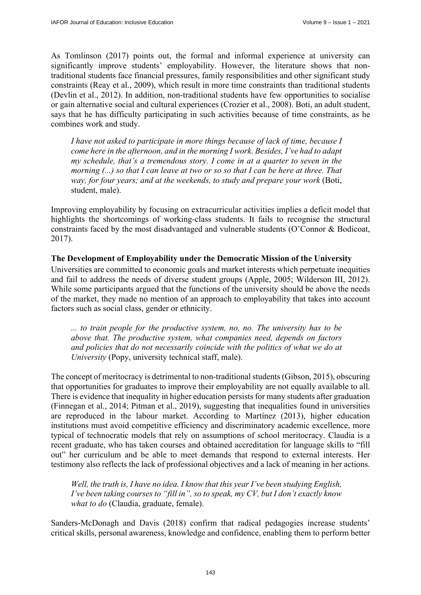As Tomlinson (2017) points out, the formal and informal experience at university can significantly improve students' employability. However, the literature shows that nontraditional students face financial pressures, family responsibilities and other significant study constraints (Reay et al., 2009), which result in more time constraints than traditional students (Devlin et al., 2012). In addition, non-traditional students have few opportunities to socialise or gain alternative social and cultural experiences (Crozier et al., 2008). Boti, an adult student, says that he has difficulty participating in such activities because of time constraints, as he combines work and study.

*I have not asked to participate in more things because of lack of time, because I come here in the afternoon, and in the morning I work. Besides, I've had to adapt my schedule, that's a tremendous story. I come in at a quarter to seven in the morning (...) so that I can leave at two or so so that I can be here at three. That way, for four years; and at the weekends, to study and prepare your work (Boti,* student, male).

Improving employability by focusing on extracurricular activities implies a deficit model that highlights the shortcomings of working-class students. It fails to recognise the structural constraints faced by the most disadvantaged and vulnerable students (O'Connor & Bodicoat, 2017).

### **The Development of Employability under the Democratic Mission of the University**

Universities are committed to economic goals and market interests which perpetuate inequities and fail to address the needs of diverse student groups (Apple, 2005; Wilderson III, 2012). While some participants argued that the functions of the university should be above the needs of the market, they made no mention of an approach to employability that takes into account factors such as social class, gender or ethnicity.

*... to train people for the productive system, no, no. The university has to be above that. The productive system, what companies need, depends on factors and policies that do not necessarily coincide with the politics of what we do at University* (Popy, university technical staff, male).

The concept of meritocracy is detrimental to non-traditional students (Gibson, 2015), obscuring that opportunities for graduates to improve their employability are not equally available to all. There is evidence that inequality in higher education persists for many students after graduation (Finnegan et al., 2014; Pitman et al., 2019), suggesting that inequalities found in universities are reproduced in the labour market. According to Martínez (2013), higher education institutions must avoid competitive efficiency and discriminatory academic excellence, more typical of technocratic models that rely on assumptions of school meritocracy. Claudia is a recent graduate, who has taken courses and obtained accreditation for language skills to "fill out" her curriculum and be able to meet demands that respond to external interests. Her testimony also reflects the lack of professional objectives and a lack of meaning in her actions.

*Well, the truth is, I have no idea. I know that this year I've been studying English, I've been taking courses to "fill in", so to speak, my CV, but I don't exactly know what to do* (Claudia, graduate, female).

Sanders-McDonagh and Davis (2018) confirm that radical pedagogies increase students' critical skills, personal awareness, knowledge and confidence, enabling them to perform better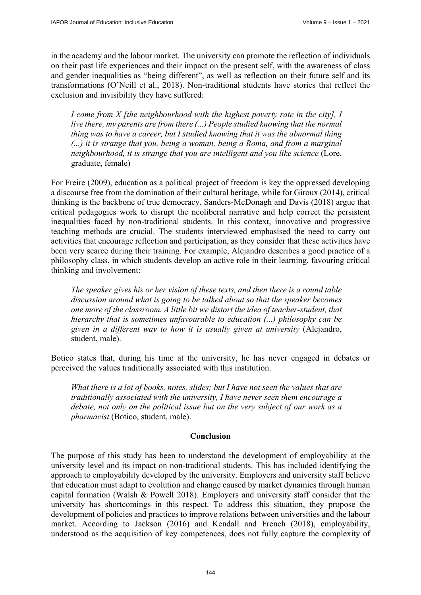in the academy and the labour market. The university can promote the reflection of individuals on their past life experiences and their impact on the present self, with the awareness of class and gender inequalities as "being different", as well as reflection on their future self and its transformations (O'Neill et al., 2018). Non-traditional students have stories that reflect the exclusion and invisibility they have suffered:

*I come from X [the neighbourhood with the highest poverty rate in the city], I live there, my parents are from there (...) People studied knowing that the normal thing was to have a career, but I studied knowing that it was the abnormal thing (...) it is strange that you, being a woman, being a Roma, and from a marginal neighbourhood, it is strange that you are intelligent and you like science* (Lore, graduate, female)

For Freire (2009), education as a political project of freedom is key the oppressed developing a discourse free from the domination of their cultural heritage, while for Giroux (2014), critical thinking is the backbone of true democracy. Sanders-McDonagh and Davis (2018) argue that critical pedagogies work to disrupt the neoliberal narrative and help correct the persistent inequalities faced by non-traditional students. In this context, innovative and progressive teaching methods are crucial. The students interviewed emphasised the need to carry out activities that encourage reflection and participation, as they consider that these activities have been very scarce during their training. For example, Alejandro describes a good practice of a philosophy class, in which students develop an active role in their learning, favouring critical thinking and involvement:

*The speaker gives his or her vision of these texts, and then there is a round table discussion around what is going to be talked about so that the speaker becomes one more of the classroom. A little bit we distort the idea of teacher-student, that hierarchy that is sometimes unfavourable to education (...) philosophy can be given in a different way to how it is usually given at university* (Alejandro, student, male).

Botico states that, during his time at the university, he has never engaged in debates or perceived the values traditionally associated with this institution.

*What there is a lot of books, notes, slides; but I have not seen the values that are traditionally associated with the university, I have never seen them encourage a debate, not only on the political issue but on the very subject of our work as a pharmacist* (Botico, student, male).

### **Conclusion**

The purpose of this study has been to understand the development of employability at the university level and its impact on non-traditional students. This has included identifying the approach to employability developed by the university. Employers and university staff believe that education must adapt to evolution and change caused by market dynamics through human capital formation (Walsh & Powell 2018). Employers and university staff consider that the university has shortcomings in this respect. To address this situation, they propose the development of policies and practices to improve relations between universities and the labour market. According to Jackson (2016) and Kendall and French (2018), employability, understood as the acquisition of key competences, does not fully capture the complexity of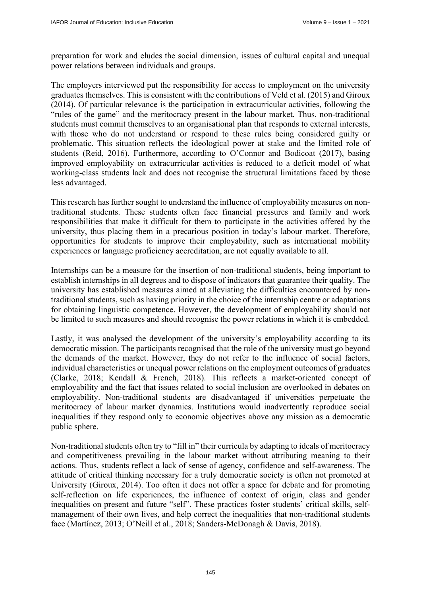preparation for work and eludes the social dimension, issues of cultural capital and unequal power relations between individuals and groups.

The employers interviewed put the responsibility for access to employment on the university graduates themselves. This is consistent with the contributions of Veld et al. (2015) and Giroux (2014). Of particular relevance is the participation in extracurricular activities, following the "rules of the game" and the meritocracy present in the labour market. Thus, non-traditional students must commit themselves to an organisational plan that responds to external interests, with those who do not understand or respond to these rules being considered guilty or problematic. This situation reflects the ideological power at stake and the limited role of students (Reid, 2016). Furthermore, according to O'Connor and Bodicoat (2017), basing improved employability on extracurricular activities is reduced to a deficit model of what working-class students lack and does not recognise the structural limitations faced by those less advantaged.

This research has further sought to understand the influence of employability measures on nontraditional students. These students often face financial pressures and family and work responsibilities that make it difficult for them to participate in the activities offered by the university, thus placing them in a precarious position in today's labour market. Therefore, opportunities for students to improve their employability, such as international mobility experiences or language proficiency accreditation, are not equally available to all.

Internships can be a measure for the insertion of non-traditional students, being important to establish internships in all degrees and to dispose of indicators that guarantee their quality. The university has established measures aimed at alleviating the difficulties encountered by nontraditional students, such as having priority in the choice of the internship centre or adaptations for obtaining linguistic competence. However, the development of employability should not be limited to such measures and should recognise the power relations in which it is embedded.

Lastly, it was analysed the development of the university's employability according to its democratic mission. The participants recognised that the role of the university must go beyond the demands of the market. However, they do not refer to the influence of social factors, individual characteristics or unequal power relations on the employment outcomes of graduates (Clarke, 2018; Kendall & French, 2018). This reflects a market-oriented concept of employability and the fact that issues related to social inclusion are overlooked in debates on employability. Non-traditional students are disadvantaged if universities perpetuate the meritocracy of labour market dynamics. Institutions would inadvertently reproduce social inequalities if they respond only to economic objectives above any mission as a democratic public sphere.

Non-traditional students often try to "fill in" their curricula by adapting to ideals of meritocracy and competitiveness prevailing in the labour market without attributing meaning to their actions. Thus, students reflect a lack of sense of agency, confidence and self-awareness. The attitude of critical thinking necessary for a truly democratic society is often not promoted at University (Giroux, 2014). Too often it does not offer a space for debate and for promoting self-reflection on life experiences, the influence of context of origin, class and gender inequalities on present and future "self". These practices foster students' critical skills, selfmanagement of their own lives, and help correct the inequalities that non-traditional students face (Martínez, 2013; O'Neill et al., 2018; Sanders-McDonagh & Davis, 2018).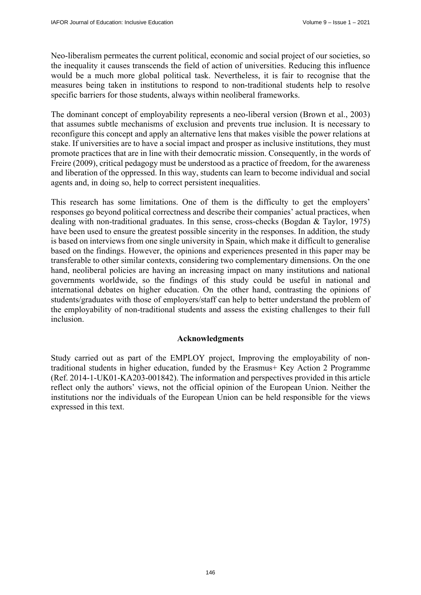Neo-liberalism permeates the current political, economic and social project of our societies, so the inequality it causes transcends the field of action of universities. Reducing this influence would be a much more global political task. Nevertheless, it is fair to recognise that the measures being taken in institutions to respond to non-traditional students help to resolve specific barriers for those students, always within neoliberal frameworks.

The dominant concept of employability represents a neo-liberal version (Brown et al., 2003) that assumes subtle mechanisms of exclusion and prevents true inclusion. It is necessary to reconfigure this concept and apply an alternative lens that makes visible the power relations at stake. If universities are to have a social impact and prosper as inclusive institutions, they must promote practices that are in line with their democratic mission. Consequently, in the words of Freire (2009), critical pedagogy must be understood as a practice of freedom, for the awareness and liberation of the oppressed. In this way, students can learn to become individual and social agents and, in doing so, help to correct persistent inequalities.

This research has some limitations. One of them is the difficulty to get the employers' responses go beyond political correctness and describe their companies' actual practices, when dealing with non-traditional graduates. In this sense, cross-checks (Bogdan & Taylor, 1975) have been used to ensure the greatest possible sincerity in the responses. In addition, the study is based on interviews from one single university in Spain, which make it difficult to generalise based on the findings. However, the opinions and experiences presented in this paper may be transferable to other similar contexts, considering two complementary dimensions. On the one hand, neoliberal policies are having an increasing impact on many institutions and national governments worldwide, so the findings of this study could be useful in national and international debates on higher education. On the other hand, contrasting the opinions of students/graduates with those of employers/staff can help to better understand the problem of the employability of non-traditional students and assess the existing challenges to their full inclusion.

### **Acknowledgments**

Study carried out as part of the EMPLOY project, Improving the employability of nontraditional students in higher education, funded by the Erasmus+ Key Action 2 Programme (Ref. 2014-1-UK01-KA203-001842). The information and perspectives provided in this article reflect only the authors' views, not the official opinion of the European Union. Neither the institutions nor the individuals of the European Union can be held responsible for the views expressed in this text.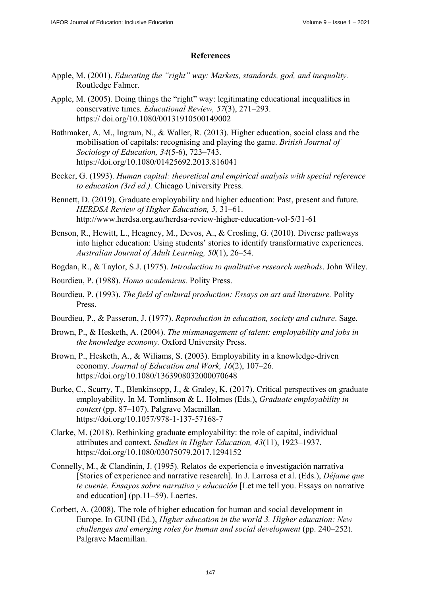## **References**

- Apple, M. (2001). *Educating the "right" way: Markets, standards, god, and inequality.* Routledge Falmer.
- Apple, M. (2005). Doing things the "right" way: legitimating educational inequalities in conservative times*. Educational Review, 57*(3), 271–293. [https:// doi.org/10.1080/00131910500149002](https://doi.org/10.1080/00131910500149002)
- Bathmaker, A. M., Ingram, N., & Waller, R. (2013). Higher education, social class and the mobilisation of capitals: recognising and playing the game. *British Journal of Sociology of Education, 34*(5-6), 723–743. <https://doi.org/10.1080/01425692.2013.816041>
- Becker, G. (1993). *Human capital: theoretical and empirical analysis with special reference to education (3rd ed.).* Chicago University Press.
- Bennett, D. (2019). Graduate employability and higher education: Past, present and future. *HERDSA Review of Higher Education, 5,* 31–61. <http://www.herdsa.org.au/herdsa-review-higher-education-vol-5/31-61>
- Benson, R., Hewitt, L., Heagney, M., Devos, A., & Crosling, G. (2010). Diverse pathways into higher education: Using students' stories to identify transformative experiences. *Australian Journal of Adult Learning, 50*(1), 26–54.
- Bogdan, R., & Taylor, S.J. (1975). *Introduction to qualitative research methods*. John Wiley.
- Bourdieu, P. (1988). *Homo academicus.* Polity Press.
- Bourdieu, P. (1993). *The field of cultural production: Essays on art and literature.* Polity Press.
- Bourdieu, P., & Passeron, J. (1977). *Reproduction in education, society and culture*. Sage.
- Brown, P., & Hesketh, A. (2004). *The mismanagement of talent: employability and jobs in the knowledge economy.* Oxford University Press.
- Brown, P., Hesketh, A., & Wiliams, S. (2003). Employability in a knowledge-driven economy. *Journal of Education and Work, 16*(2), 107–26. <https://doi.org/10.1080/1363908032000070648>
- Burke, C., Scurry, T., Blenkinsopp, J., & Graley, K. (2017). Critical perspectives on graduate employability. In M. Tomlinson & L. Holmes (Eds.), *Graduate employability in context* (pp. 87–107). Palgrave Macmillan. <https://doi.org/10.1057/978-1-137-57168-7>
- Clarke, M. (2018). Rethinking graduate employability: the role of capital, individual attributes and context. *Studies in Higher Education, 43*(11), 1923–1937. <https://doi.org/10.1080/03075079.2017.1294152>
- Connelly, M., & Clandinin, J. (1995). Relatos de experiencia e investigación narrativa [Stories of experience and narrative research]. In J. Larrosa et al. (Eds.), *Déjame que te cuente. Ensayos sobre narrativa y educación* [Let me tell you. Essays on narrative and education] (pp.11–59). Laertes.
- Corbett, A. (2008). The role of higher education for human and social development in Europe. In GUNI (Ed.), *Higher education in the world 3. Higher education: New challenges and emerging roles for human and social development* (pp. 240–252). Palgrave Macmillan.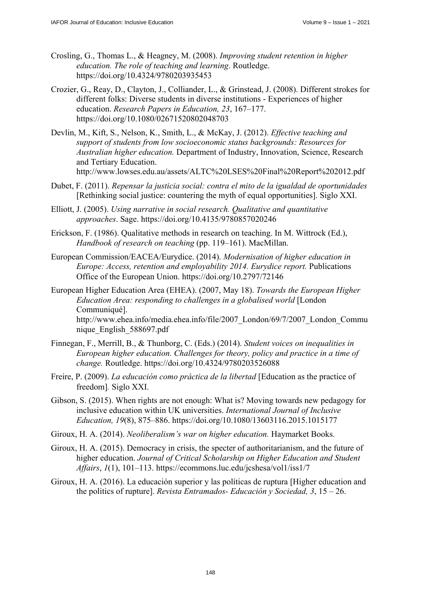- Crosling, G., Thomas L., & Heagney, M. (2008). *Improving student retention in higher education. The role of teaching and learning*. Routledge. <https://doi.org/10.4324/9780203935453>
- Crozier, G., Reay, D., Clayton, J., Colliander, L., & Grinstead, J. (2008). Different strokes for different folks: Diverse students in diverse institutions - Experiences of higher education. *Research Papers in Education, 23*, 167–177. <https://doi.org/10.1080/02671520802048703>
- Devlin, M., Kift, S., Nelson, K., Smith, L., & McKay, J. (2012). *Effective teaching and support of students from low socioeconomic status backgrounds: Resources for Australian higher education.* Department of Industry, Innovation, Science, Research and Tertiary Education. <http://www.lowses.edu.au/assets/ALTC%20LSES%20Final%20Report%202012.pdf>
- Dubet, F. (2011). *Repensar la justicia social: contra el mito de la igualdad de oportunidades*  [Rethinking social justice: countering the myth of equal opportunities]. Siglo XXI.
- Elliott, J. (2005). *Using narrative in social research. Qualitative and quantitative approaches*. Sage.<https://doi.org/10.4135/9780857020246>
- Erickson, F. (1986). Qualitative methods in research on teaching. In M. Wittrock (Ed.), *Handbook of research on teaching* (pp. 119–161). MacMillan.
- European Commission/EACEA/Eurydice. (2014). *Modernisation of higher education in Europe: Access, retention and employability 2014. Eurydice report.* Publications Office of the European Union.<https://doi.org/10.2797/72146>
- European Higher Education Area (EHEA). (2007, May 18). *Towards the European Higher Education Area: responding to challenges in a globalised world* [London Communiqué]. [http://www.ehea.info/media.ehea.info/file/2007\\_London/69/7/2007\\_London\\_Commu](http://www.ehea.info/media.ehea.info/file/2007_London/69/7/2007_London_Commu) nique\_English\_588697.pdf
- Finnegan, F., Merrill, B., & Thunborg, C. (Eds.) (2014). *Student voices on inequalities in European higher education. Challenges for theory, policy and practice in a time of change.* Routledge. <https://doi.org/10.4324/9780203526088>
- Freire, P. (2009). *La educación como práctica de la libertad* [Education as the practice of freedom]*.* Siglo XXI.
- Gibson, S. (2015). When rights are not enough: What is? Moving towards new pedagogy for inclusive education within UK universities. *International Journal of Inclusive Education, 19*(8), 875–886.<https://doi.org/10.1080/13603116.2015.1015177>
- Giroux, H. A. (2014). *Neoliberalism's war on higher education.* Haymarket Books.
- Giroux, H. A. (2015). Democracy in crisis, the specter of authoritarianism, and the future of higher education. *Journal of Critical Scholarship on Higher Education and Student Affairs*, *1*(1), 101–113. <https://ecommons.luc.edu/jcshesa/vol1/iss1/7>
- Giroux, H. A. (2016). La educación superior y las políticas de ruptura [Higher education and the politics of rupture]. *Revista Entramados- Educación y Sociedad, 3*, 15 – 26.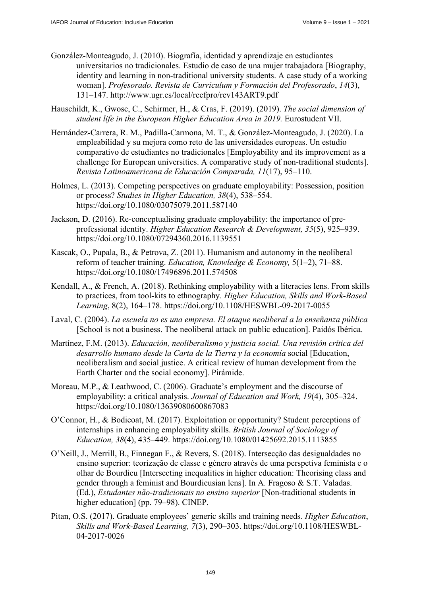- González-Monteagudo, J. (2010). Biografía, identidad y aprendizaje en estudiantes universitarios no tradicionales. Estudio de caso de una mujer trabajadora [Biography, identity and learning in non-traditional university students. A case study of a working woman]. *Profesorado. Revista de Currículum y Formación del Profesorado*, *14*(3), 131–147. <http://www.ugr.es/local/recfpro/rev143ART9.pdf>
- Hauschildt, K., Gwosc, C., Schirmer, H., & Cras, F. (2019). (2019). *The social dimension of student life in the European Higher Education Area in 2019.* Eurostudent VII.
- Hernández-Carrera, R. M., Padilla-Carmona, M. T., & González-Monteagudo, J. (2020). La empleabilidad y su mejora como reto de las universidades europeas. Un estudio comparativo de estudiantes no tradicionales [Employability and its improvement as a challenge for European universities. A comparative study of non-traditional students]. *Revista Latinoamericana de Educación Comparada, 11*(17), 95–110.
- Holmes, L. (2013). Competing perspectives on graduate employability: Possession, position or process? *Studies in Higher Education, 38*(4), 538–554. <https://doi.org/10.1080/03075079.2011.587140>
- Jackson, D. (2016). Re-conceptualising graduate employability: the importance of preprofessional identity. *Higher Education Research & Development, 35*(5), 925–939. <https://doi.org/10.1080/07294360.2016.1139551>
- Kascak, O., Pupala, B., & Petrova, Z. (2011). Humanism and autonomy in the neoliberal reform of teacher training. *Education, Knowledge & Economy,* 5(1–2), 71–88. <https://doi.org/10.1080/17496896.2011.574508>
- Kendall, A., & French, A. (2018). Rethinking employability with a literacies lens. From skills to practices, from tool-kits to ethnography. *Higher Education, Skills and Work-Based Learning*, 8(2), 164–178. <https://doi.org/10.1108/HESWBL-09-2017-0055>
- Laval, C. (2004). *La escuela no es una empresa. El ataque neoliberal a la enseñanza pública*  [School is not a business. The neoliberal attack on public education]. Paidós Ibérica.
- Martínez, F.M. (2013). *Educación, neoliberalismo y justicia social. Una revisión crítica del desarrollo humano desde la Carta de la Tierra y la economía* social [Education, neoliberalism and social justice. A critical review of human development from the Earth Charter and the social economy]. Pirámide.
- Moreau, M.P., & Leathwood, C. (2006). Graduate's employment and the discourse of employability: a critical analysis. *Journal of Education and Work, 19*(4), 305–324. <https://doi.org/10.1080/13639080600867083>
- O'Connor, H., & Bodicoat, M. (2017). Exploitation or opportunity? Student perceptions of internships in enhancing employability skills. *British Journal of Sociology of Education, 38*(4), 435–449.<https://doi.org/10.1080/01425692.2015.1113855>
- O'Neill, J., Merrill, B., Finnegan F., & Revers, S. (2018). Intersecção das desigualdades no ensino superior: teorização de classe e género através de uma perspetiva feminista e o olhar de Bourdieu [Intersecting inequalities in higher education: Theorising class and gender through a feminist and Bourdieusian lens]. In A. Fragoso & S.T. Valadas. (Ed.), *Estudantes não-tradicionais no ensino superior* [Non-traditional students in higher education] (pp. 79–98). CINEP.
- Pitan, O.S. (2017). Graduate employees' generic skills and training needs. *Higher Education*, *Skills and Work-Based Learning, 7*(3), 290–303. [https://doi.org/10.1108/HESWBL-](https://doi.org/10.1108/HESWBL-04-2017-0026)[04-2017-0026](https://doi.org/10.1108/HESWBL-04-2017-0026)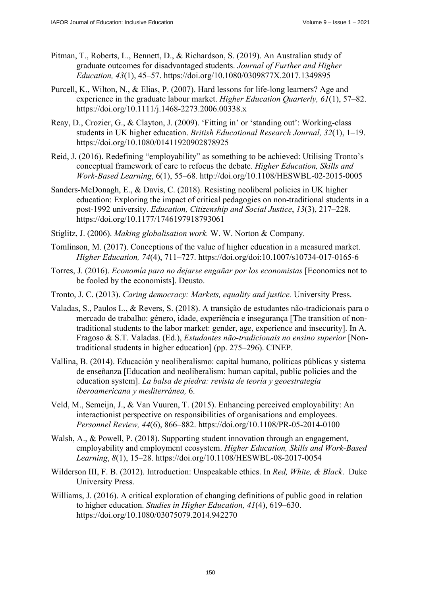- Pitman, T., Roberts, L., Bennett, D., & Richardson, S. (2019). An Australian study of graduate outcomes for disadvantaged students. *Journal of Further and Higher Education, 43*(1), 45–57.<https://doi.org/10.1080/0309877X.2017.1349895>
- Purcell, K., Wilton, N., & Elias, P. (2007). Hard lessons for life-long learners? Age and experience in the graduate labour market. *Higher Education Quarterly, 61*(1), 57–82. <https://doi.org/10.1111/j.1468-2273.2006.00338.x>
- Reay, D., Crozier, G., & Clayton, J. (2009). 'Fitting in' or 'standing out': Working-class students in UK higher education. *British Educational Research Journal, 32*(1), 1–19. <https://doi.org/10.1080/01411920902878925>
- Reid, J. (2016). Redefining "employability" as something to be achieved: Utilising Tronto's conceptual framework of care to refocus the debate. *Higher Education, Skills and Work-Based Learning*, 6(1), 55–68.<http://doi.org/10.1108/HESWBL-02-2015-0005>
- Sanders-McDonagh, E., & Davis, C. (2018). Resisting neoliberal policies in UK higher education: Exploring the impact of critical pedagogies on non-traditional students in a post-1992 university. *Education, Citizenship and Social Justice*, *13*(3), 217–228. <https://doi.org/10.1177/1746197918793061>
- Stiglitz, J. (2006). *Making globalisation work.* W. W. Norton & Company.
- Tomlinson, M. (2017). Conceptions of the value of higher education in a measured market. *Higher Education, 74*(4), 711–727.<https://doi.org/doi:10.1007/s10734-017-0165-6>
- Torres, J. (2016). *Economía para no dejarse engañar por los economistas* [Economics not to be fooled by the economists]. Deusto.
- Tronto, J. C. (2013). *Caring democracy: Markets, equality and justice.* University Press.
- Valadas, S., Paulos L., & Revers, S. (2018). A transição de estudantes não-tradicionais para o mercado de trabalho: género, idade, experiência e insegurança [The transition of nontraditional students to the labor market: gender, age, experience and insecurity]. In A. Fragoso & S.T. Valadas. (Ed.), *Estudantes não-tradicionais no ensino superior* [Nontraditional students in higher education] (pp. 275–296). CINEP.
- Vallina, B. (2014). Educación y neoliberalismo: capital humano, políticas públicas y sistema de enseñanza [Education and neoliberalism: human capital, public policies and the education system]. *La balsa de piedra: revista de teoría y geoestrategia iberoamericana y mediterránea,* 6.
- Veld, M., Semeijn, J., & Van Vuuren, T. (2015). Enhancing perceived employability: An interactionist perspective on responsibilities of organisations and employees. *Personnel Review, 44*(6), 866–882.<https://doi.org/10.1108/PR-05-2014-0100>
- Walsh, A., & Powell, P. (2018). Supporting student innovation through an engagement, employability and employment ecosystem. *Higher Education, Skills and Work-Based Learning*, *8*(1), 15–28. <https://doi.org/10.1108/HESWBL-08-2017-0054>
- Wilderson III, F. B. (2012). Introduction: Unspeakable ethics. In *Red, White, & Black*. Duke University Press.
- Williams, J. (2016). A critical exploration of changing definitions of public good in relation to higher education. *Studies in Higher Education, 41*(4), 619–630. <https://doi.org/10.1080/03075079.2014.942270>